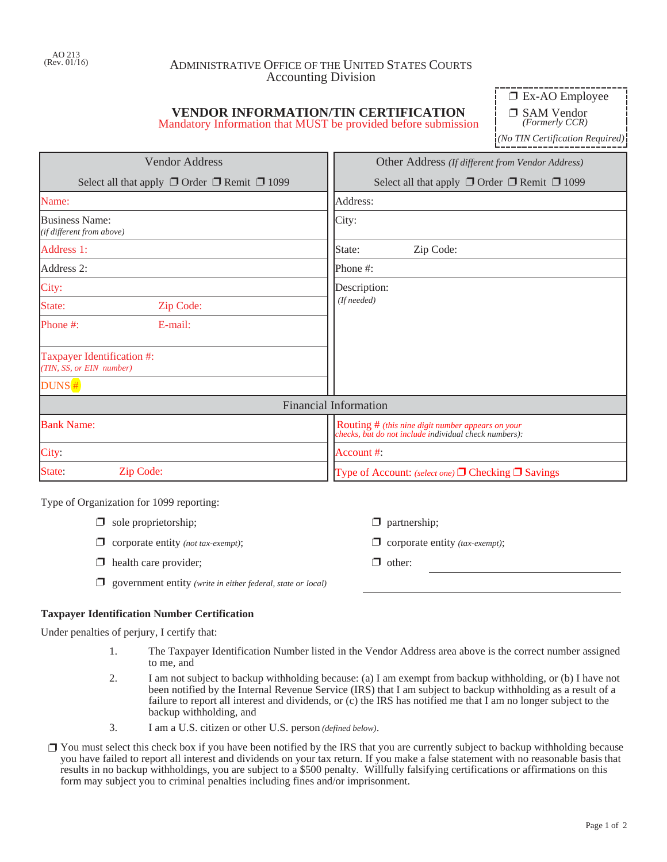## ADMINISTRATIVE OFFICE OF THE UNITED STATES COURTS Accounting Division

# **VENDOR INFORMATION/TIN CERTIFICATION**

Mandatory Information that MUST be provided before submission

 $\Box$  Ex-AO Employee

□ SAM Vendor *(Formerly CCR)*

*(No TIN Certification Required)*

| <b>Vendor Address</b>                                       | Other Address (If different from Vendor Address)                                                           |  |  |  |
|-------------------------------------------------------------|------------------------------------------------------------------------------------------------------------|--|--|--|
| Select all that apply $\Box$ Order $\Box$ Remit $\Box$ 1099 | Select all that apply $\Box$ Order $\Box$ Remit $\Box$ 1099                                                |  |  |  |
| Name:                                                       | Address:                                                                                                   |  |  |  |
| Business Name:<br>(if different from above)                 | City:                                                                                                      |  |  |  |
| Address 1:                                                  | Zip Code:<br>State:                                                                                        |  |  |  |
| Address 2:                                                  | Phone #:                                                                                                   |  |  |  |
| City:                                                       | Description:                                                                                               |  |  |  |
| State:<br>Zip Code:                                         | (If needed)                                                                                                |  |  |  |
| E-mail:<br>Phone #:                                         |                                                                                                            |  |  |  |
| Taxpayer Identification #:<br>(TIN, SS, or EIN number)      |                                                                                                            |  |  |  |
| DUNS#                                                       |                                                                                                            |  |  |  |
|                                                             | <b>Financial Information</b>                                                                               |  |  |  |
| <b>Bank Name:</b>                                           | Routing # (this nine digit number appears on your<br>checks, but do not include individual check numbers): |  |  |  |
| City:                                                       | Account $#$ :                                                                                              |  |  |  |
| State:<br>Zip Code:                                         | Type of Account: (select one) $\Box$ Checking $\Box$ Savings                                               |  |  |  |

Type of Organization for 1099 reporting:

| $\Box$ sole proprietorship; |  |
|-----------------------------|--|
|-----------------------------|--|

- **u** corporate entity *(not tax-exempt)*;  $\Box$  corporate entity *(tax-exempt)*;
- $\Box$  health care provider;  $\Box$  other:
- □ government entity *(write in either federal, state or local)*

### **Taxpayer Identification Number Certification**

Under penalties of perjury, I certify that:

1. The Taxpayer Identification Number listed in the Vendor Address area above is the correct number assigned to me, and

 $\Box$  partnership;

- 2. I am not subject to backup withholding because: (a) I am exempt from backup withholding, or (b) I have not been notified by the Internal Revenue Service (IRS) that I am subject to backup withholding as a result of a failure to report all interest and dividends, or (c) the IRS has notified me that I am no longer subject to the backup withholding, and
- 3. I am a U.S. citizen or other U.S. person *(defined below)*.
- $\Box$  You must select this check box if you have been notified by the IRS that you are currently subject to backup withholding because you have failed to report all interest and dividends on your tax return. If you make a false statement with no reasonable basis that results in no backup withholdings, you are subject to a \$500 penalty. Willfully falsifying certifications or affirmations on this form may subject you to criminal penalties including fines and/or imprisonment.